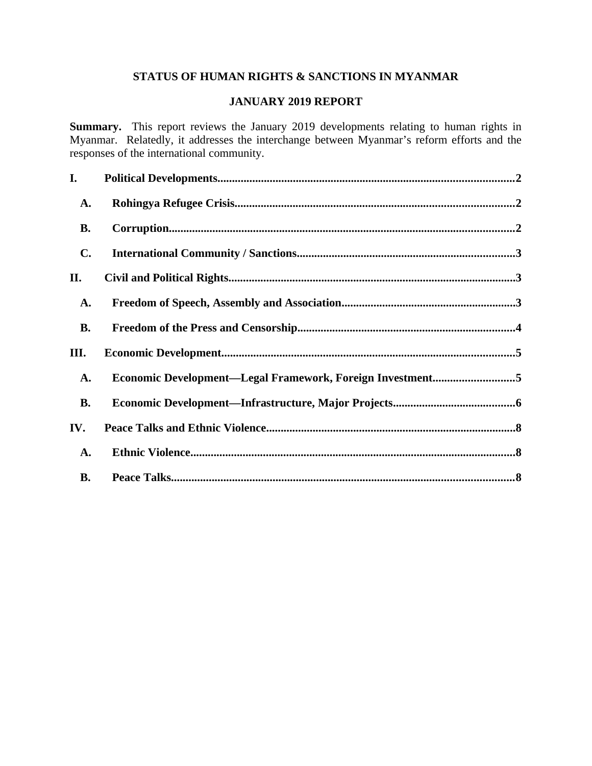# **STATUS OF HUMAN RIGHTS & SANCTIONS IN MYANMAR**

## **JANUARY 2019 REPORT**

**Summary.** This report reviews the January 2019 developments relating to human rights in Myanmar. Relatedly, it addresses the interchange between Myanmar's reform efforts and the responses of the international community.

| I.             |                                                           |  |
|----------------|-----------------------------------------------------------|--|
| <b>A.</b>      |                                                           |  |
| <b>B.</b>      |                                                           |  |
| $\mathbf{C}$ . |                                                           |  |
| II.            |                                                           |  |
| <b>A.</b>      |                                                           |  |
| <b>B.</b>      |                                                           |  |
| III.           |                                                           |  |
| <b>A.</b>      | Economic Development-Legal Framework, Foreign Investment5 |  |
| <b>B.</b>      |                                                           |  |
| IV.            |                                                           |  |
| <b>A.</b>      |                                                           |  |
| <b>B.</b>      |                                                           |  |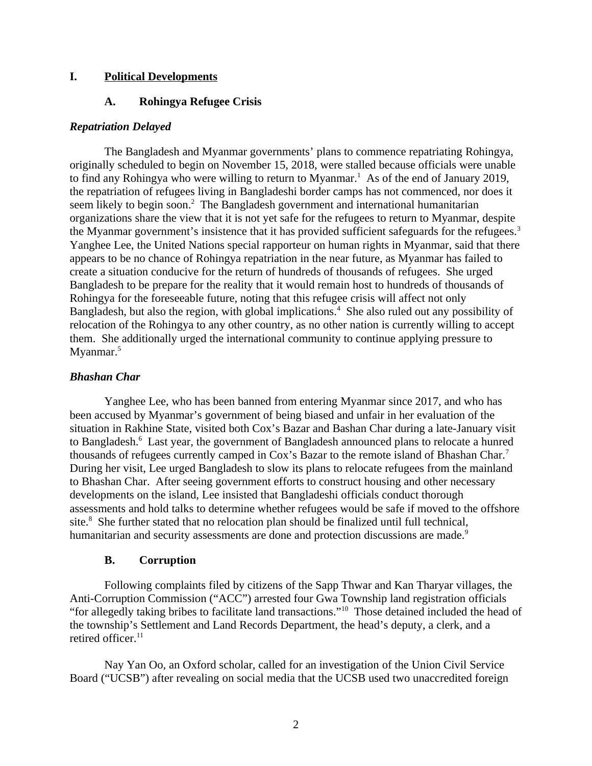### **I. Political Developments**

## <span id="page-1-2"></span><span id="page-1-0"></span>**A. Rohingya Refugee Crisis**

#### *Repatriation Delayed*

The Bangladesh and Myanmar governments' plans to commence repatriating Rohingya, originally scheduled to begin on November 15, 2018, were stalled because officials were unable to find any Rohingya who were willing to return to Myanmar.<sup>1</sup> As of the end of January 2019, the repatriation of refugees living in Bangladeshi border camps has not commenced, nor does it seem likely to begin soon. $2$  The Bangladesh government and international humanitarian organizations share the view that it is not yet safe for the refugees to return to Myanmar, despite the Myanmar government's insistence that it has provided sufficient safeguards for the refugees.<sup>3</sup> Yanghee Lee, the United Nations special rapporteur on human rights in Myanmar, said that there appears to be no chance of Rohingya repatriation in the near future, as Myanmar has failed to create a situation conducive for the return of hundreds of thousands of refugees. She urged Bangladesh to be prepare for the reality that it would remain host to hundreds of thousands of Rohingya for the foreseeable future, noting that this refugee crisis will affect not only Bangladesh, but also the region, with global implications.<sup>4</sup> She also ruled out any possibility of relocation of the Rohingya to any other country, as no other nation is currently willing to accept them. She additionally urged the international community to continue applying pressure to Myanmar.<sup>5</sup>

### *Bhashan Char*

Yanghee Lee, who has been banned from entering Myanmar since 2017, and who has been accused by Myanmar's government of being biased and unfair in her evaluation of the situation in Rakhine State, visited both Cox's Bazar and Bashan Char during a late-January visit to Bangladesh.<sup>6</sup> Last year, the government of Bangladesh announced plans to relocate a hunred thousands of refugees currently camped in Cox's Bazar to the remote island of Bhashan Char.<sup>7</sup> During her visit, Lee urged Bangladesh to slow its plans to relocate refugees from the mainland to Bhashan Char. After seeing government efforts to construct housing and other necessary developments on the island, Lee insisted that Bangladeshi officials conduct thorough assessments and hold talks to determine whether refugees would be safe if moved to the offshore site.<sup>8</sup> She further stated that no relocation plan should be finalized until full technical, humanitarian and security assessments are done and protection discussions are made.<sup>9</sup>

### <span id="page-1-1"></span>**B. Corruption**

Following complaints filed by citizens of the Sapp Thwar and Kan Tharyar villages, the Anti-Corruption Commission ("ACC") arrested four Gwa Township land registration officials "for allegedly taking bribes to facilitate land transactions."<sup>10</sup> Those detained included the head of the township's Settlement and Land Records Department, the head's deputy, a clerk, and a retired officer. $11$ 

Nay Yan Oo, an Oxford scholar, called for an investigation of the Union Civil Service Board ("UCSB") after revealing on social media that the UCSB used two unaccredited foreign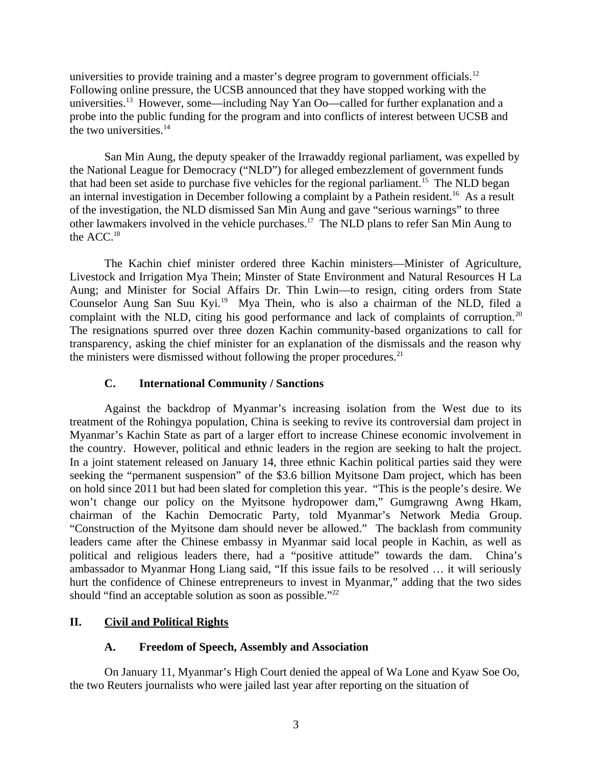universities to provide training and a master's degree program to government officials.<sup>12</sup> Following online pressure, the UCSB announced that they have stopped working with the universities.<sup>13</sup> However, some—including Nay Yan Oo—called for further explanation and a probe into the public funding for the program and into conflicts of interest between UCSB and the two universities.<sup>14</sup>

San Min Aung, the deputy speaker of the Irrawaddy regional parliament, was expelled by the National League for Democracy ("NLD") for alleged embezzlement of government funds that had been set aside to purchase five vehicles for the regional parliament.<sup>15</sup> The NLD began an internal investigation in December following a complaint by a Pathein resident.<sup>16</sup> As a result of the investigation, the NLD dismissed San Min Aung and gave "serious warnings" to three other lawmakers involved in the vehicle purchases.<sup>17</sup> The NLD plans to refer San Min Aung to the ACC.<sup>18</sup>

The Kachin chief minister ordered three Kachin ministers—Minister of Agriculture, Livestock and Irrigation Mya Thein; Minster of State Environment and Natural Resources H La Aung; and Minister for Social Affairs Dr. Thin Lwin—to resign, citing orders from State Counselor Aung San Suu Kyi.<sup>19</sup> Mya Thein, who is also a chairman of the NLD, filed a complaint with the NLD, citing his good performance and lack of complaints of corruption.<sup>20</sup> The resignations spurred over three dozen Kachin community-based organizations to call for transparency, asking the chief minister for an explanation of the dismissals and the reason why the ministers were dismissed without following the proper procedures. $^{21}$ 

## <span id="page-2-2"></span>**C. International Community / Sanctions**

Against the backdrop of Myanmar's increasing isolation from the West due to its treatment of the Rohingya population, China is seeking to revive its controversial dam project in Myanmar's Kachin State as part of a larger effort to increase Chinese economic involvement in the country. However, political and ethnic leaders in the region are seeking to halt the project. In a joint statement released on January 14, three ethnic Kachin political parties said they were seeking the "permanent suspension" of the \$3.6 billion Myitsone Dam project, which has been on hold since 2011 but had been slated for completion this year. "This is the people's desire. We won't change our policy on the Myitsone hydropower dam," Gumgrawng Awng Hkam, chairman of the Kachin Democratic Party, told Myanmar's Network Media Group. "Construction of the Myitsone dam should never be allowed." The backlash from community leaders came after the Chinese embassy in Myanmar said local people in Kachin, as well as political and religious leaders there, had a "positive attitude" towards the dam. China's ambassador to Myanmar Hong Liang said, "If this issue fails to be resolved … it will seriously hurt the confidence of Chinese entrepreneurs to invest in Myanmar," adding that the two sides should "find an acceptable solution as soon as possible."<sup>22</sup>

# **II. Civil and Political Rights**

### <span id="page-2-1"></span><span id="page-2-0"></span>**A. Freedom of Speech, Assembly and Association**

On January 11, Myanmar's High Court denied the appeal of Wa Lone and Kyaw Soe Oo, the two Reuters journalists who were jailed last year after reporting on the situation of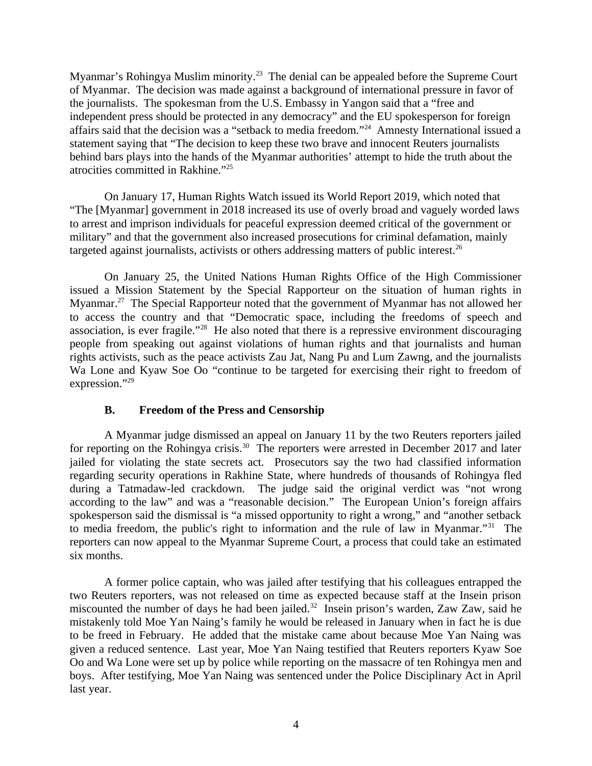Myanmar's Rohingya Muslim minority.<sup>23</sup> The denial can be appealed before the Supreme Court of Myanmar. The decision was made against a background of international pressure in favor of the journalists. The spokesman from the U.S. Embassy in Yangon said that a "free and independent press should be protected in any democracy" and the EU spokesperson for foreign affairs said that the decision was a "setback to media freedom."<sup>24</sup> Amnesty International issued a statement saying that "The decision to keep these two brave and innocent Reuters journalists behind bars plays into the hands of the Myanmar authorities' attempt to hide the truth about the atrocities committed in Rakhine."<sup>25</sup>

On January 17, Human Rights Watch issued its World Report 2019, which noted that "The [Myanmar] government in 2018 increased its use of overly broad and vaguely worded laws to arrest and imprison individuals for peaceful expression deemed critical of the government or military" and that the government also increased prosecutions for criminal defamation, mainly targeted against journalists, activists or others addressing matters of public interest. $^{26}$ 

On January 25, the United Nations Human Rights Office of the High Commissioner issued a Mission Statement by the Special Rapporteur on the situation of human rights in Myanmar.<sup>27</sup> The Special Rapporteur noted that the government of Myanmar has not allowed her to access the country and that "Democratic space, including the freedoms of speech and association, is ever fragile."<sup>28</sup> He also noted that there is a repressive environment discouraging people from speaking out against violations of human rights and that journalists and human rights activists, such as the peace activists Zau Jat, Nang Pu and Lum Zawng, and the journalists Wa Lone and Kyaw Soe Oo "continue to be targeted for exercising their right to freedom of expression."<sup>29</sup>

### <span id="page-3-0"></span>**B. Freedom of the Press and Censorship**

A Myanmar judge dismissed an appeal on January 11 by the two Reuters reporters jailed for reporting on the Rohingya crisis.<sup>30</sup> The reporters were arrested in December 2017 and later jailed for violating the state secrets act. Prosecutors say the two had classified information regarding security operations in Rakhine State, where hundreds of thousands of Rohingya fled during a Tatmadaw-led crackdown. The judge said the original verdict was "not wrong according to the law" and was a "reasonable decision." The European Union's foreign affairs spokesperson said the dismissal is "a missed opportunity to right a wrong," and "another setback to media freedom, the public's right to information and the rule of law in Myanmar."<sup>31</sup> The reporters can now appeal to the Myanmar Supreme Court, a process that could take an estimated six months.

A former police captain, who was jailed after testifying that his colleagues entrapped the two Reuters reporters, was not released on time as expected because staff at the Insein prison miscounted the number of days he had been jailed.<sup>32</sup> Insein prison's warden, Zaw Zaw, said he mistakenly told Moe Yan Naing's family he would be released in January when in fact he is due to be freed in February. He added that the mistake came about because Moe Yan Naing was given a reduced sentence. Last year, Moe Yan Naing testified that Reuters reporters Kyaw Soe Oo and Wa Lone were set up by police while reporting on the massacre of ten Rohingya men and boys. After testifying, Moe Yan Naing was sentenced under the Police Disciplinary Act in April last year.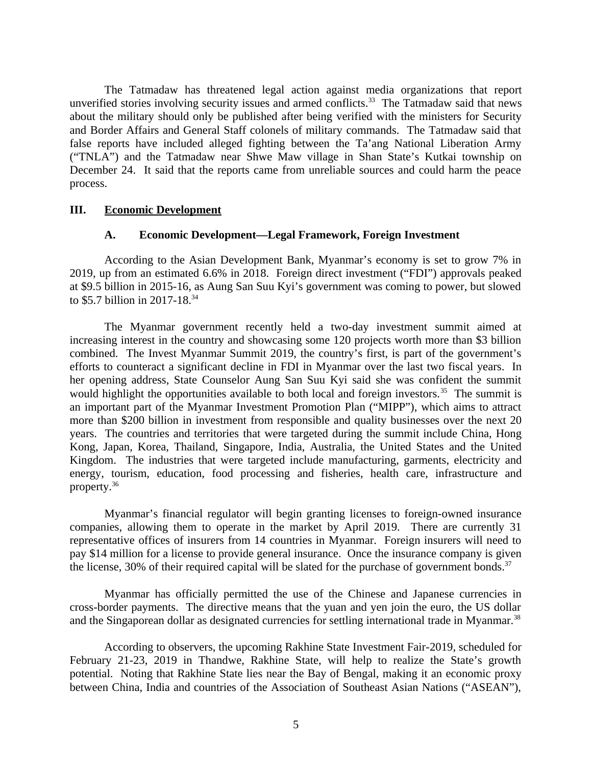The Tatmadaw has threatened legal action against media organizations that report unverified stories involving security issues and armed conflicts. $33$  The Tatmadaw said that news about the military should only be published after being verified with the ministers for Security and Border Affairs and General Staff colonels of military commands. The Tatmadaw said that false reports have included alleged fighting between the Ta'ang National Liberation Army ("TNLA") and the Tatmadaw near Shwe Maw village in Shan State's Kutkai township on December 24. It said that the reports came from unreliable sources and could harm the peace process.

#### **III. Economic Development**

#### <span id="page-4-1"></span><span id="page-4-0"></span>**A. Economic Development—Legal Framework, Foreign Investment**

According to the Asian Development Bank, Myanmar's economy is set to grow 7% in 2019, up from an estimated 6.6% in 2018. Foreign direct investment ("FDI") approvals peaked at \$9.5 billion in 2015-16, as Aung San Suu Kyi's government was coming to power, but slowed to \$5.7 billion in 2017-18.<sup>34</sup>

The Myanmar government recently held a two-day investment summit aimed at increasing interest in the country and showcasing some 120 projects worth more than \$3 billion combined. The Invest Myanmar Summit 2019, the country's first, is part of the government's efforts to counteract a significant decline in FDI in Myanmar over the last two fiscal years. In her opening address, State Counselor Aung San Suu Kyi said she was confident the summit would highlight the opportunities available to both local and foreign investors.<sup>35</sup> The summit is an important part of the Myanmar Investment Promotion Plan ("MIPP"), which aims to attract more than \$200 billion in investment from responsible and quality businesses over the next 20 years. The countries and territories that were targeted during the summit include China, Hong Kong, Japan, Korea, Thailand, Singapore, India, Australia, the United States and the United Kingdom. The industries that were targeted include manufacturing, garments, electricity and energy, tourism, education, food processing and fisheries, health care, infrastructure and property.<sup>36</sup>

Myanmar's financial regulator will begin granting licenses to foreign-owned insurance companies, allowing them to operate in the market by April 2019. There are currently 31 representative offices of insurers from 14 countries in Myanmar. Foreign insurers will need to pay \$14 million for a license to provide general insurance. Once the insurance company is given the license, 30% of their required capital will be slated for the purchase of government bonds. $37$ 

Myanmar has officially permitted the use of the Chinese and Japanese currencies in cross-border payments. The directive means that the yuan and yen join the euro, the US dollar and the Singaporean dollar as designated currencies for settling international trade in Myanmar.<sup>38</sup>

According to observers, the upcoming Rakhine State Investment Fair-2019, scheduled for February 21-23, 2019 in Thandwe, Rakhine State, will help to realize the State's growth potential. Noting that Rakhine State lies near the Bay of Bengal, making it an economic proxy between China, India and countries of the Association of Southeast Asian Nations ("ASEAN"),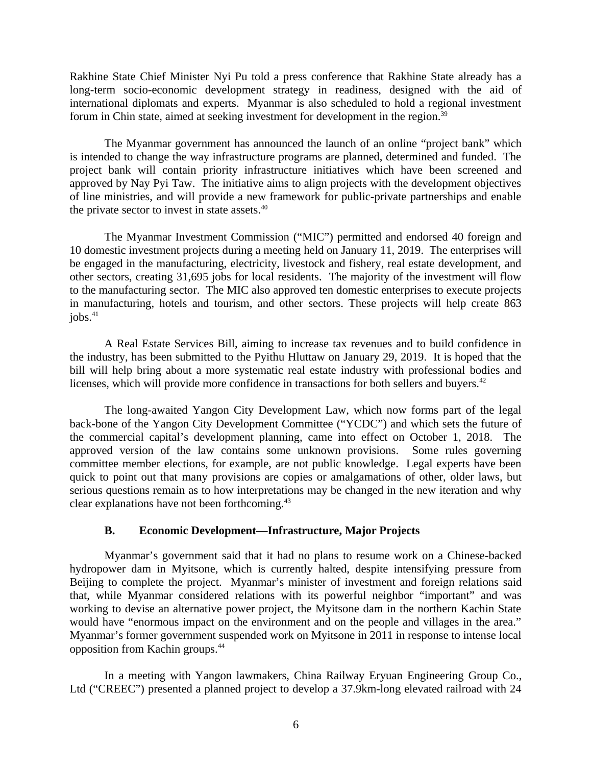Rakhine State Chief Minister Nyi Pu told a press conference that Rakhine State already has a long-term socio-economic development strategy in readiness, designed with the aid of international diplomats and experts. Myanmar is also scheduled to hold a regional investment forum in Chin state, aimed at seeking investment for development in the region.<sup>39</sup>

The Myanmar government has announced the launch of an online "project bank" which is intended to change the way infrastructure programs are planned, determined and funded. The project bank will contain priority infrastructure initiatives which have been screened and approved by Nay Pyi Taw. The initiative aims to align projects with the development objectives of line ministries, and will provide a new framework for public-private partnerships and enable the private sector to invest in state assets.<sup>40</sup>

The Myanmar Investment Commission ("MIC") permitted and endorsed 40 foreign and 10 domestic investment projects during a meeting held on January 11, 2019. The enterprises will be engaged in the manufacturing, electricity, livestock and fishery, real estate development, and other sectors, creating 31,695 jobs for local residents. The majority of the investment will flow to the manufacturing sector. The MIC also approved ten domestic enterprises to execute projects in manufacturing, hotels and tourism, and other sectors. These projects will help create 863  $i$ obs. $41$ 

A Real Estate Services Bill, aiming to increase tax revenues and to build confidence in the industry, has been submitted to the Pyithu Hluttaw on January 29, 2019. It is hoped that the bill will help bring about a more systematic real estate industry with professional bodies and licenses, which will provide more confidence in transactions for both sellers and buyers.<sup>42</sup>

The long-awaited Yangon City Development Law, which now forms part of the legal back-bone of the Yangon City Development Committee ("YCDC") and which sets the future of the commercial capital's development planning, came into effect on October 1, 2018. The approved version of the law contains some unknown provisions. Some rules governing committee member elections, for example, are not public knowledge. Legal experts have been quick to point out that many provisions are copies or amalgamations of other, older laws, but serious questions remain as to how interpretations may be changed in the new iteration and why clear explanations have not been forthcoming.<sup>43</sup>

# <span id="page-5-0"></span>**B. Economic Development—Infrastructure, Major Projects**

Myanmar's government said that it had no plans to resume work on a Chinese-backed hydropower dam in Myitsone, which is currently halted, despite intensifying pressure from Beijing to complete the project. Myanmar's minister of investment and foreign relations said that, while Myanmar considered relations with its powerful neighbor "important" and was working to devise an alternative power project, the Myitsone dam in the northern Kachin State would have "enormous impact on the environment and on the people and villages in the area." Myanmar's former government suspended work on Myitsone in 2011 in response to intense local opposition from Kachin groups.<sup>44</sup>

In a meeting with Yangon lawmakers, China Railway Eryuan Engineering Group Co., Ltd ("CREEC") presented a planned project to develop a 37.9km-long elevated railroad with 24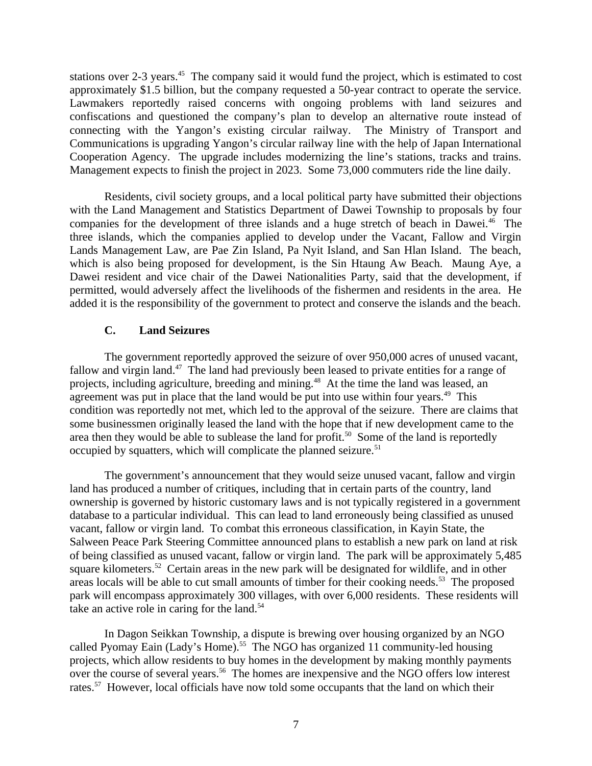stations over 2-3 years.<sup>45</sup> The company said it would fund the project, which is estimated to cost approximately \$1.5 billion, but the company requested a 50-year contract to operate the service. Lawmakers reportedly raised concerns with ongoing problems with land seizures and confiscations and questioned the company's plan to develop an alternative route instead of connecting with the Yangon's existing circular railway. The Ministry of Transport and Communications is upgrading Yangon's circular railway line with the help of Japan International Cooperation Agency. The upgrade includes modernizing the line's stations, tracks and trains. Management expects to finish the project in 2023. Some 73,000 commuters ride the line daily.

Residents, civil society groups, and a local political party have submitted their objections with the Land Management and Statistics Department of Dawei Township to proposals by four companies for the development of three islands and a huge stretch of beach in Dawei.<sup>46</sup> The three islands, which the companies applied to develop under the Vacant, Fallow and Virgin Lands Management Law, are Pae Zin Island, Pa Nyit Island, and San Hlan Island. The beach, which is also being proposed for development, is the Sin Htaung Aw Beach. Maung Aye, a Dawei resident and vice chair of the Dawei Nationalities Party, said that the development, if permitted, would adversely affect the livelihoods of the fishermen and residents in the area. He added it is the responsibility of the government to protect and conserve the islands and the beach.

## **C. Land Seizures**

The government reportedly approved the seizure of over 950,000 acres of unused vacant, fallow and virgin land.<sup>47</sup> The land had previously been leased to private entities for a range of projects, including agriculture, breeding and mining.<sup>48</sup> At the time the land was leased, an agreement was put in place that the land would be put into use within four years.<sup>49</sup> This condition was reportedly not met, which led to the approval of the seizure. There are claims that some businessmen originally leased the land with the hope that if new development came to the area then they would be able to sublease the land for profit.<sup>50</sup> Some of the land is reportedly occupied by squatters, which will complicate the planned seizure.<sup>51</sup>

The government's announcement that they would seize unused vacant, fallow and virgin land has produced a number of critiques, including that in certain parts of the country, land ownership is governed by historic customary laws and is not typically registered in a government database to a particular individual. This can lead to land erroneously being classified as unused vacant, fallow or virgin land. To combat this erroneous classification, in Kayin State, the Salween Peace Park Steering Committee announced plans to establish a new park on land at risk of being classified as unused vacant, fallow or virgin land. The park will be approximately 5,485 square kilometers.<sup>52</sup> Certain areas in the new park will be designated for wildlife, and in other areas locals will be able to cut small amounts of timber for their cooking needs.<sup>53</sup> The proposed park will encompass approximately 300 villages, with over 6,000 residents. These residents will take an active role in caring for the land.<sup>54</sup>

In Dagon Seikkan Township, a dispute is brewing over housing organized by an NGO called Pyomay Eain (Lady's Home).<sup>55</sup> The NGO has organized 11 community-led housing projects, which allow residents to buy homes in the development by making monthly payments over the course of several years.<sup>56</sup> The homes are inexpensive and the NGO offers low interest rates.<sup>57</sup> However, local officials have now told some occupants that the land on which their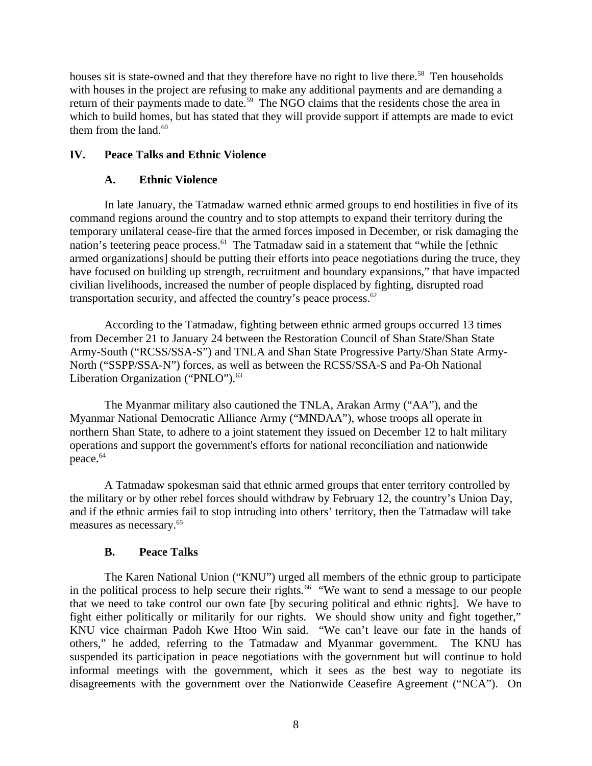houses sit is state-owned and that they therefore have no right to live there.<sup>58</sup> Ten households with houses in the project are refusing to make any additional payments and are demanding a return of their payments made to date.<sup>59</sup> The NGO claims that the residents chose the area in which to build homes, but has stated that they will provide support if attempts are made to evict them from the land. $60$ 

# **IV. Peace Talks and Ethnic Violence**

## <span id="page-7-2"></span><span id="page-7-1"></span>**A. Ethnic Violence**

In late January, the Tatmadaw warned ethnic armed groups to end hostilities in five of its command regions around the country and to stop attempts to expand their territory during the temporary unilateral cease-fire that the armed forces imposed in December, or risk damaging the nation's teetering peace process. $61$  The Tatmadaw said in a statement that "while the [ethnic armed organizations] should be putting their efforts into peace negotiations during the truce, they have focused on building up strength, recruitment and boundary expansions," that have impacted civilian livelihoods, increased the number of people displaced by fighting, disrupted road transportation security, and affected the country's peace process. $62$ 

According to the Tatmadaw, fighting between ethnic armed groups occurred 13 times from December 21 to January 24 between the Restoration Council of Shan State/Shan State Army-South ("RCSS/SSA-S") and TNLA and Shan State Progressive Party/Shan State Army-North ("SSPP/SSA-N") forces, as well as between the RCSS/SSA-S and Pa-Oh National Liberation Organization ("PNLO").<sup>63</sup>

The Myanmar military also cautioned the TNLA, Arakan Army ("AA"), and the Myanmar National Democratic Alliance Army ("MNDAA"), whose troops all operate in northern Shan State, to adhere to a joint statement they issued on December 12 to halt military operations and support the government's efforts for national reconciliation and nationwide peace.<sup>64</sup>

A Tatmadaw spokesman said that ethnic armed groups that enter territory controlled by the military or by other rebel forces should withdraw by February 12, the country's Union Day, and if the ethnic armies fail to stop intruding into others' territory, then the Tatmadaw will take measures as necessary.<sup>65</sup>

### <span id="page-7-0"></span>**B. Peace Talks**

The Karen National Union ("KNU") urged all members of the ethnic group to participate in the political process to help secure their rights.<sup>66</sup> "We want to send a message to our people that we need to take control our own fate [by securing political and ethnic rights]. We have to fight either politically or militarily for our rights. We should show unity and fight together," KNU vice chairman Padoh Kwe Htoo Win said. "We can't leave our fate in the hands of others," he added, referring to the Tatmadaw and Myanmar government. The KNU has suspended its participation in peace negotiations with the government but will continue to hold informal meetings with the government, which it sees as the best way to negotiate its disagreements with the government over the Nationwide Ceasefire Agreement ("NCA"). On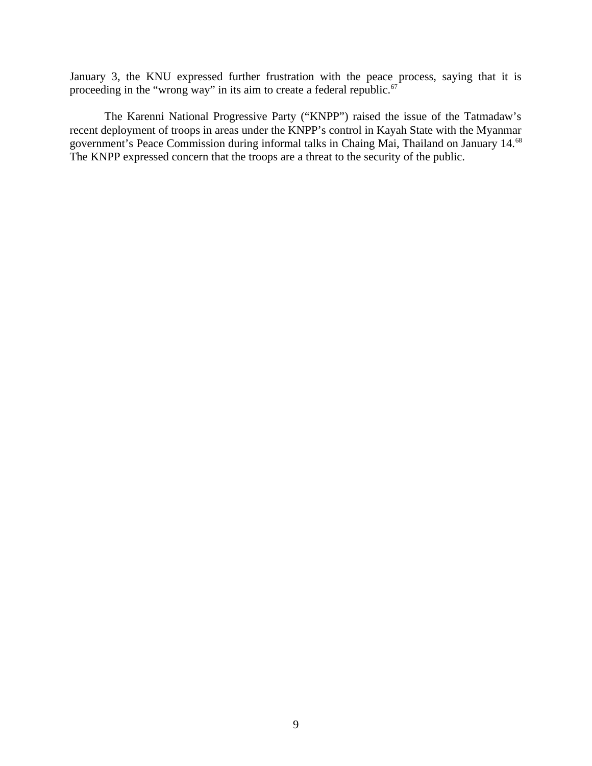January 3, the KNU expressed further frustration with the peace process, saying that it is proceeding in the "wrong way" in its aim to create a federal republic. $67$ 

The Karenni National Progressive Party ("KNPP") raised the issue of the Tatmadaw's recent deployment of troops in areas under the KNPP's control in Kayah State with the Myanmar government's Peace Commission during informal talks in Chaing Mai, Thailand on January 14.<sup>68</sup> The KNPP expressed concern that the troops are a threat to the security of the public.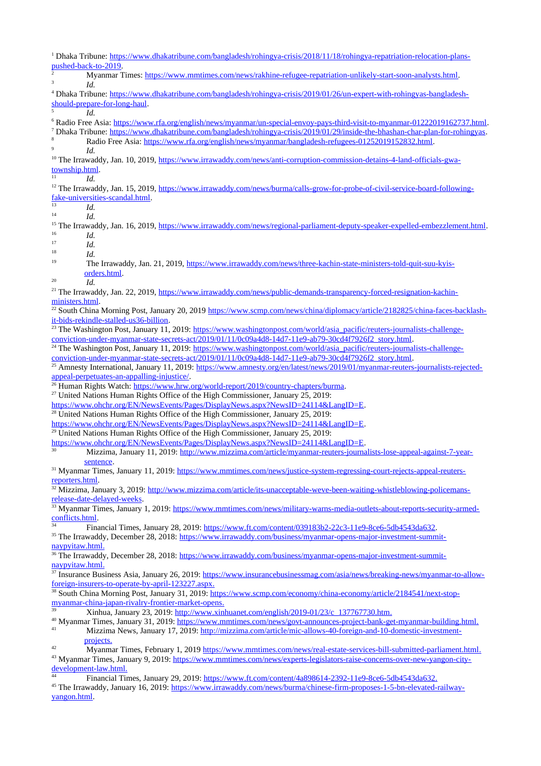<sup>1</sup> Dhaka Tribune: [https://www.dhakatribune.com/bangladesh/rohingya-crisis/2018/11/18/rohingya-repatriation-relocation-plans](https://www.dhakatribune.com/bangladesh/rohingya-crisis/2018/11/18/rohingya-repatriation-relocation-plans-pushed-back-to-2019)[pushed-back-to-2019](https://www.dhakatribune.com/bangladesh/rohingya-crisis/2018/11/18/rohingya-repatriation-relocation-plans-pushed-back-to-2019). 2 Myanmar Times:<https://www.mmtimes.com/news/rakhine-refugee-repatriation-unlikely-start-soon-analysts.html>. 3 *Id.* 4 Dhaka Tribune: [https://www.dhakatribune.com/bangladesh/rohingya-crisis/2019/01/26/un-expert-with-rohingyas-bangladesh](https://www.dhakatribune.com/bangladesh/rohingya-crisis/2019/01/26/un-expert-with-rohingyas-bangladesh-should-prepare-for-long-haul)[should-prepare-for-long-haul.](https://www.dhakatribune.com/bangladesh/rohingya-crisis/2019/01/26/un-expert-with-rohingyas-bangladesh-should-prepare-for-long-haul) 5 *Id.*  <sup>6</sup> Radio Free Asia: <u><https://www.rfa.org/english/news/myanmar/un-special-envoy-pays-third-visit-to-myanmar-01222019162737.html>.</u> 7 Dhaka Tribune: <https://www.dhakatribune.com/bangladesh/rohingya-crisis/2019/01/29/inside-the-bhashan-char-plan-for-rohingyas>. 8 Radio Free Asia:<https://www.rfa.org/english/news/myanmar/bangladesh-refugees-01252019152832.html>. 9 *Id.* <sup>10</sup> The Irrawaddy, Jan. 10, 2019, [https://www.irrawaddy.com/news/anti-corruption-commission-detains-4-land-officials-gwa](https://www.irrawaddy.com/news/anti-corruption-commission-detains-4-land-officials-gwa-township.html)[township.html.](https://www.irrawaddy.com/news/anti-corruption-commission-detains-4-land-officials-gwa-township.html)  $^{11}$  *Id.* <sup>12</sup> The Irrawaddy, Jan. 15, 2019, [https://www.irrawaddy.com/news/burma/calls-grow-for-probe-of-civil-service-board-following](https://www.irrawaddy.com/news/burma/calls-grow-for-probe-of-civil-service-board-following-fake-universities-scandal.html)[fake-universities-scandal.html](https://www.irrawaddy.com/news/burma/calls-grow-for-probe-of-civil-service-board-following-fake-universities-scandal.html).  $13$  *Id.*<br> $14$  *Id.* <sup>14</sup> *Id.* <sup>15</sup> The Irrawaddy, Jan. 16, 2019,<https://www.irrawaddy.com/news/regional-parliament-deputy-speaker-expelled-embezzlement.html>.  $16$  *Id.*<br> $17$  *Id.* <sup>17</sup> *Id.*  $18$  *Id.*<br> $19$  Th 19 The Irrawaddy, Jan. 21, 2019, [https://www.irrawaddy.com/news/three-kachin-state-ministers-told-quit-suu-kyis](https://www.irrawaddy.com/news/three-kachin-state-ministers-told-quit-suu-kyis-orders.html)[orders.html](https://www.irrawaddy.com/news/three-kachin-state-ministers-told-quit-suu-kyis-orders.html).  $^{20}$  *Id.* <sup>21</sup> The Irrawaddy, Jan. 22, 2019, [https://www.irrawaddy.com/news/public-demands-transparency-forced-resignation-kachin](https://www.irrawaddy.com/news/public-demands-transparency-forced-resignation-kachin-ministers.html)[ministers.html.](https://www.irrawaddy.com/news/public-demands-transparency-forced-resignation-kachin-ministers.html) <sup>22</sup> South China Morning Post, January 20, 2019 [https://www.scmp.com/news/china/diplomacy/article/2182825/china-faces-backlash](https://www.scmp.com/news/china/diplomacy/article/2182825/china-faces-backlash-it-bids-rekindle-stalled-us36-billion)[it-bids-rekindle-stalled-us36-billion](https://www.scmp.com/news/china/diplomacy/article/2182825/china-faces-backlash-it-bids-rekindle-stalled-us36-billion). <sup>23</sup> The Washington Post, January 11, 2019: [https://www.washingtonpost.com/world/asia\\_pacific/reuters-journalists-challenge](https://www.washingtonpost.com/world/asia_pacific/reuters-journalists-challenge-conviction-under-myanmar-state-secrets-act/2019/01/11/0c09a4d8-14d7-11e9-ab79-30cd4f7926f2_story.html)[conviction-under-myanmar-state-secrets-act/2019/01/11/0c09a4d8-14d7-11e9-ab79-30cd4f7926f2\\_story.html](https://www.washingtonpost.com/world/asia_pacific/reuters-journalists-challenge-conviction-under-myanmar-state-secrets-act/2019/01/11/0c09a4d8-14d7-11e9-ab79-30cd4f7926f2_story.html). <sup>24</sup> The Washington Post, January 11, 2019: [https://www.washingtonpost.com/world/asia\\_pacific/reuters-journalists-challenge](https://www.washingtonpost.com/world/asia_pacific/reuters-journalists-challenge-conviction-under-myanmar-state-secrets-act/2019/01/11/0c09a4d8-14d7-11e9-ab79-30cd4f7926f2_story.html)[conviction-under-myanmar-state-secrets-act/2019/01/11/0c09a4d8-14d7-11e9-ab79-30cd4f7926f2\\_story.html](https://www.washingtonpost.com/world/asia_pacific/reuters-journalists-challenge-conviction-under-myanmar-state-secrets-act/2019/01/11/0c09a4d8-14d7-11e9-ab79-30cd4f7926f2_story.html). <sup>25</sup> Amnesty International, January 11, 2019: [https://www.amnesty.org/en/latest/news/2019/01/myanmar-reuters-journalists-rejected](https://www.amnesty.org/en/latest/news/2019/01/myanmar-reuters-journalists-rejected-appeal-perpetuates-an-appalling-injustice/)[appeal-perpetuates-an-appalling-injustice/](https://www.amnesty.org/en/latest/news/2019/01/myanmar-reuters-journalists-rejected-appeal-perpetuates-an-appalling-injustice/). <sup>26</sup> Human Rights Watch: [https://www.hrw.org/world-report/2019/country-chapters/burma.](https://www.hrw.org/world-report/2019/country-chapters/burma) <sup>27</sup> United Nations Human Rights Office of the High Commissioner, January 25, 2019: [https://www.ohchr.org/EN/NewsEvents/Pages/DisplayNews.aspx?NewsID=24114&LangID=E.](https://www.ohchr.org/EN/NewsEvents/Pages/DisplayNews.aspx?NewsID=24114&LangID=E) <sup>28</sup> United Nations Human Rights Office of the High Commissioner, January 25, 2019: [https://www.ohchr.org/EN/NewsEvents/Pages/DisplayNews.aspx?NewsID=24114&LangID=E.](https://www.ohchr.org/EN/NewsEvents/Pages/DisplayNews.aspx?NewsID=24114&LangID=E)  $29$  United Nations Human Rights Office of the High Commissioner, January 25, 2019: [https://www.ohchr.org/EN/NewsEvents/Pages/DisplayNews.aspx?NewsID=24114&LangID=E.](https://www.ohchr.org/EN/NewsEvents/Pages/DisplayNews.aspx?NewsID=24114&LangID=E) Mizzima, January 11, 2019: [http://www.mizzima.com/article/myanmar-reuters-journalists-lose-appeal-against-7-year](http://www.mizzima.com/article/myanmar-reuters-journalists-lose-appeal-against-7-year-sentence)[sentence.](http://www.mizzima.com/article/myanmar-reuters-journalists-lose-appeal-against-7-year-sentence) <sup>31</sup> Myanmar Times, January 11, 2019: [https://www.mmtimes.com/news/justice-system-regressing-court-rejects-appeal-reuters](https://www.mmtimes.com/news/justice-system-regressing-court-rejects-appeal-reuters-reporters.html)[reporters.html.](https://www.mmtimes.com/news/justice-system-regressing-court-rejects-appeal-reuters-reporters.html) <sup>32</sup> Mizzima, January 3, 2019: [http://www.mizzima.com/article/its-unacceptable-weve-been-waiting-whistleblowing-policemans](http://www.mizzima.com/article/its-unacceptable-weve-been-waiting-whistleblowing-policemans-release-date-delayed-weeks)[release-date-delayed-weeks](http://www.mizzima.com/article/its-unacceptable-weve-been-waiting-whistleblowing-policemans-release-date-delayed-weeks). <sup>33</sup> Myanmar Times, January 1, 2019: [https://www.mmtimes.com/news/military-warns-media-outlets-about-reports-security-armed](https://www.mmtimes.com/news/military-warns-media-outlets-about-reports-security-armed-conflicts.html)[conflicts.html.](https://www.mmtimes.com/news/military-warns-media-outlets-about-reports-security-armed-conflicts.html) <sup>34</sup> Financial Times, January 28, 2019:<https://www.ft.com/content/039183b2-22c3-11e9-8ce6-5db4543da632>. <sup>35</sup> The Irrawaddy, December 28, 2018: [https://www.irrawaddy.com/business/myanmar-opens-major-investment-summit](https://www.irrawaddy.com/business/myanmar-opens-major-investment-summit-naypyitaw.html)  [naypyitaw.html](https://www.irrawaddy.com/business/myanmar-opens-major-investment-summit-naypyitaw.html). <sup>36</sup> The Irrawaddy, December 28, 2018: <u>https://www.irrawaddy.com/business/myanmar-opens-major-investment-summit-</u>  [naypyitaw.html](https://www.irrawaddy.com/business/myanmar-opens-major-investment-summit-naypyitaw.html). <sup>37</sup> Insurance Business Asia, January 26, 2019: [https://www.insurancebusinessmag.com/asia/news/breaking-news/myanmar-to-allow](https://www.insurancebusinessmag.com/asia/news/breaking-news/myanmar-to-allow-foreign-insurers-to-operate-by-april-123227.aspx)  [foreign-insurers-to-operate-by-april-123227.aspx](https://www.insurancebusinessmag.com/asia/news/breaking-news/myanmar-to-allow-foreign-insurers-to-operate-by-april-123227.aspx). <sup>38</sup> South China Morning Post, January 31, 2019: [https://www.scmp.com/economy/china-economy/article/2184541/next-stop](https://www.scmp.com/economy/china-economy/article/2184541/next-stop-myanmar-china-japan-rivalry-frontier-market-opens)  [myanmar-china-japan-rivalry-frontier-market-opens.](https://www.scmp.com/economy/china-economy/article/2184541/next-stop-myanmar-china-japan-rivalry-frontier-market-opens) <sup>39</sup> Xinhua, January 23, 2019: [http://www.xinhuanet.com/english/2019-01/23/c\\_137767730.htm](http://www.xinhuanet.com/english/2019-01/23/c_137767730.htm). <sup>40</sup> Myanmar Times, January 31, 2019: [https://www.mmtimes.com/news/govt-announces-project-bank-get-myanmar-building.html.](https://www.mmtimes.com/news/govt-announces-project-bank-get-myanmar-building.html) Mizzima News, January 17, 2019: [http://mizzima.com/article/mic-allows-40-foreign-and-10-domestic-investment](http://mizzima.com/article/mic-allows-40-foreign-and-10-domestic-investment-projects)  [projects](http://mizzima.com/article/mic-allows-40-foreign-and-10-domestic-investment-projects). <sup>42</sup> Myanmar Times, February 1, 2019<https://www.mmtimes.com/news/real-estate-services-bill-submitted-parliament.html>. <sup>43</sup> Myanmar Times, January 9, 2019: [https://www.mmtimes.com/news/experts-legislators-raise-concerns-over-new-yangon-city](https://www.mmtimes.com/news/experts-legislators-raise-concerns-over-new-yangon-city-development-law.html)  [development-law.html](https://www.mmtimes.com/news/experts-legislators-raise-concerns-over-new-yangon-city-development-law.html). Financial Times, January 29, 2019:<https://www.ft.com/content/4a898614-2392-11e9-8ce6-5db4543da632>. <sup>45</sup> The Irrawaddy, January 16, 2019: [https://www.irrawaddy.com/news/burma/chinese-firm-proposes-1-5-bn-elevated-railway](https://www.irrawaddy.com/news/burma/chinese-firm-proposes-1-5-bn-elevated-railway-yangon.html)[yangon.html](https://www.irrawaddy.com/news/burma/chinese-firm-proposes-1-5-bn-elevated-railway-yangon.html).